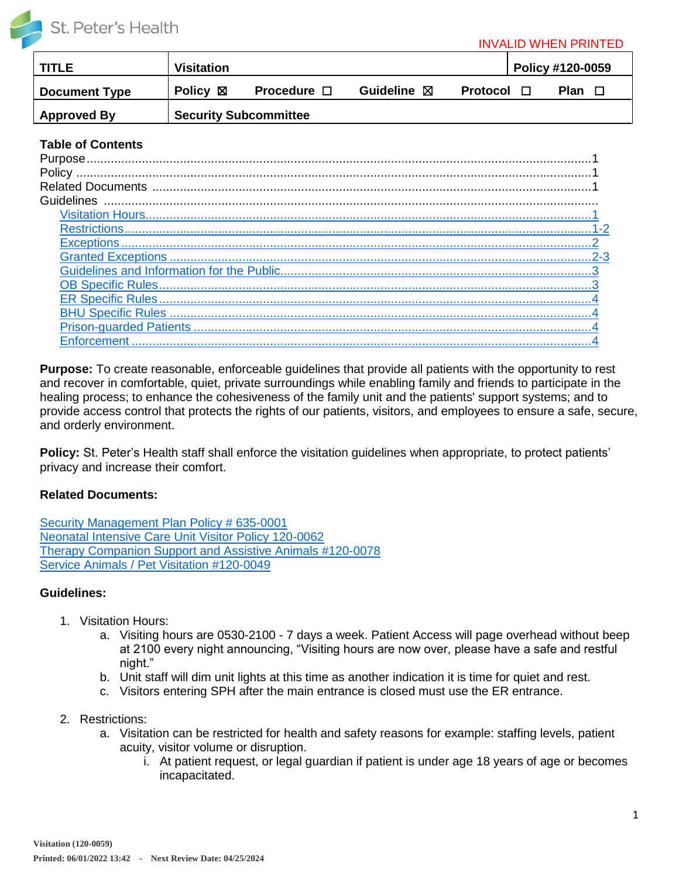

#### INVALID WHEN PRINTED

| <b>TITLE</b>         | <b>Visitation</b>            |                     |                       |                 |  | Policy #120-0059 |
|----------------------|------------------------------|---------------------|-----------------------|-----------------|--|------------------|
| <b>Document Type</b> | <b>Policy</b> 図              | Procedure $\square$ | Guideline $\boxtimes$ | <b>Protocol</b> |  | Plan $\Box$      |
| <b>Approved By</b>   | <b>Security Subcommittee</b> |                     |                       |                 |  |                  |

### **Table of Contents**

| Policy                         |  |
|--------------------------------|--|
| <b>Related Documents</b>       |  |
| Guidelines                     |  |
| <b>Visitation Hours.</b>       |  |
| <b>Restrictions</b>            |  |
| <b>Exceptions</b>              |  |
| <b>Granted Exceptions</b>      |  |
|                                |  |
| <b>OB Specific Rules.</b>      |  |
| ER Specific Rules              |  |
| <b>BHU Specific Rules </b>     |  |
| <b>Prison-quarded Patients</b> |  |
| orcement                       |  |

**Purpose:** To create reasonable, enforceable guidelines that provide all patients with the opportunity to rest and recover in comfortable, quiet, private surroundings while enabling family and friends to participate in the healing process; to enhance the cohesiveness of the family unit and the patients' support systems; and to provide access control that protects the rights of our patients, visitors, and employees to ensure a safe, secure, and orderly environment.

**Policy:** St. Peter's Health staff shall enforce the visitation guidelines when appropriate, to protect patients' privacy and increase their comfort.

### **Related Documents:**

[Security Management Plan Policy #](https://sphealth.policymedical.net/policymed/anonymous/docViewer?stoken=d46793b1-afaa-4415-a578-cdcc9de4af1b&dtoken=37cab1bd-9075-4e5d-8b91-ad8c7eadf665) 635-0001 [Neonatal Intensive Care Unit Visitor Policy 120-0062](https://sphealth.policymedical.net/policymed/anonymous/docViewer?stoken=d46793b1-afaa-4415-a578-cdcc9de4af1b&dtoken=96168cc9-ba15-4636-8f36-727a54ffd14e) [Therapy Companion Support and Assistive Animals #120-0078](https://sphealth.policymedical.net/policymed/anonymous/docViewer?stoken=d46793b1-afaa-4415-a578-cdcc9de4af1b&dtoken=811c2f3a-c466-43c5-b004-75effecfba68) [Service Animals / Pet Visitation #120-0049](https://sphealth.policymedical.net/policymed/anonymous/docViewer?stoken=d46793b1-afaa-4415-a578-cdcc9de4af1b&dtoken=51ba5d96-147c-4c73-a4ef-63fcbab8230f)

## **Guidelines:**

- <span id="page-0-0"></span>1. Visitation Hours:
	- a. Visiting hours are 0530-2100 7 days a week. Patient Access will page overhead without beep at 2100 every night announcing, "Visiting hours are now over, please have a safe and restful night."
	- b. Unit staff will dim unit lights at this time as another indication it is time for quiet and rest.
	- c. Visitors entering SPH after the main entrance is closed must use the ER entrance.
- <span id="page-0-1"></span>2. Restrictions:
	- a. Visitation can be restricted for health and safety reasons for example: staffing levels, patient acuity, visitor volume or disruption.
		- i. At patient request, or legal guardian if patient is under age 18 years of age or becomes incapacitated.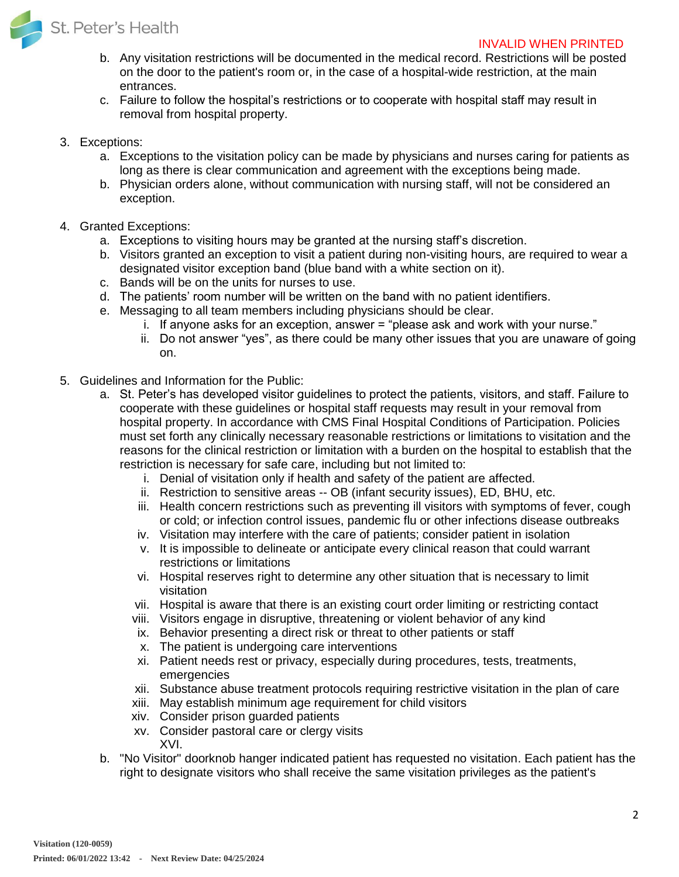

### INVALID WHEN PRINTED

- b. Any visitation restrictions will be documented in the medical record. Restrictions will be posted on the door to the patient's room or, in the case of a hospital-wide restriction, at the main entrances.
- c. Failure to follow the hospital's restrictions or to cooperate with hospital staff may result in removal from hospital property.
- <span id="page-1-0"></span>3. Exceptions:
	- a. Exceptions to the visitation policy can be made by physicians and nurses caring for patients as long as there is clear communication and agreement with the exceptions being made.
	- b. Physician orders alone, without communication with nursing staff, will not be considered an exception.
- <span id="page-1-1"></span>4. Granted Exceptions:
	- a. Exceptions to visiting hours may be granted at the nursing staff's discretion.
	- b. Visitors granted an exception to visit a patient during non-visiting hours, are required to wear a designated visitor exception band (blue band with a white section on it).
	- c. Bands will be on the units for nurses to use.
	- d. The patients' room number will be written on the band with no patient identifiers.
	- e. Messaging to all team members including physicians should be clear.
		- i. If anyone asks for an exception, answer = "please ask and work with your nurse."
		- ii. Do not answer "yes", as there could be many other issues that you are unaware of going on.
- <span id="page-1-2"></span>5. Guidelines and Information for the Public:
	- a. St. Peter's has developed visitor guidelines to protect the patients, visitors, and staff. Failure to cooperate with these guidelines or hospital staff requests may result in your removal from hospital property. In accordance with CMS Final Hospital Conditions of Participation. Policies must set forth any clinically necessary reasonable restrictions or limitations to visitation and the reasons for the clinical restriction or limitation with a burden on the hospital to establish that the restriction is necessary for safe care, including but not limited to:
		- i. Denial of visitation only if health and safety of the patient are affected.
		- ii. Restriction to sensitive areas -- OB (infant security issues), ED, BHU, etc.
		- iii. Health concern restrictions such as preventing ill visitors with symptoms of fever, cough or cold; or infection control issues, pandemic flu or other infections disease outbreaks
		- iv. Visitation may interfere with the care of patients; consider patient in isolation
		- v. It is impossible to delineate or anticipate every clinical reason that could warrant restrictions or limitations
		- vi. Hospital reserves right to determine any other situation that is necessary to limit visitation
		- vii. Hospital is aware that there is an existing court order limiting or restricting contact
		- viii. Visitors engage in disruptive, threatening or violent behavior of any kind
		- ix. Behavior presenting a direct risk or threat to other patients or staff
		- x. The patient is undergoing care interventions
		- xi. Patient needs rest or privacy, especially during procedures, tests, treatments, emergencies
		- xii. Substance abuse treatment protocols requiring restrictive visitation in the plan of care
		- xiii. May establish minimum age requirement for child visitors
		- xiv. Consider prison guarded patients
		- xv. Consider pastoral care or clergy visits XVI.
	- b. "No Visitor" doorknob hanger indicated patient has requested no visitation. Each patient has the right to designate visitors who shall receive the same visitation privileges as the patient's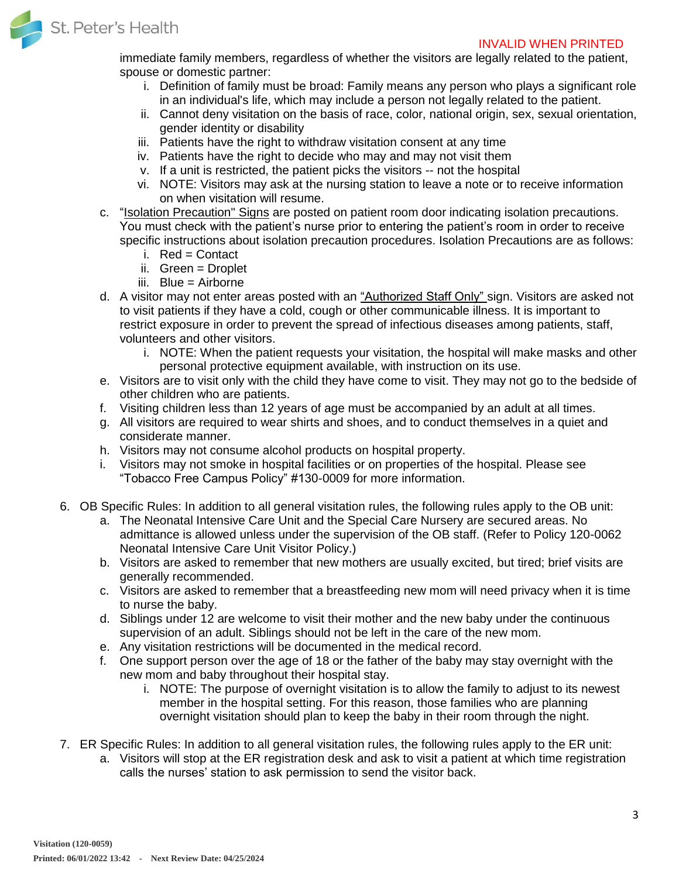

immediate family members, regardless of whether the visitors are legally related to the patient, spouse or domestic partner:

- i. Definition of family must be broad: Family means any person who plays a significant role in an individual's life, which may include a person not legally related to the patient.
- ii. Cannot deny visitation on the basis of race, color, national origin, sex, sexual orientation, gender identity or disability
- iii. Patients have the right to withdraw visitation consent at any time
- iv. Patients have the right to decide who may and may not visit them
- v. If a unit is restricted, the patient picks the visitors -- not the hospital
- vi. NOTE: Visitors may ask at the nursing station to leave a note or to receive information on when visitation will resume.
- c. "Isolation Precaution" Signs are posted on patient room door indicating isolation precautions. You must check with the patient's nurse prior to entering the patient's room in order to receive specific instructions about isolation precaution procedures. Isolation Precautions are as follows:
	- i. Red = Contact
	- ii. Green = Droplet
	- iii. Blue = Airborne
- d. A visitor may not enter areas posted with an "Authorized Staff Only" sign. Visitors are asked not to visit patients if they have a cold, cough or other communicable illness. It is important to restrict exposure in order to prevent the spread of infectious diseases among patients, staff, volunteers and other visitors.
	- i. NOTE: When the patient requests your visitation, the hospital will make masks and other personal protective equipment available, with instruction on its use.
- e. Visitors are to visit only with the child they have come to visit. They may not go to the bedside of other children who are patients.
- f. Visiting children less than 12 years of age must be accompanied by an adult at all times.
- g. All visitors are required to wear shirts and shoes, and to conduct themselves in a quiet and considerate manner.
- h. Visitors may not consume alcohol products on hospital property.
- i. Visitors may not smoke in hospital facilities or on properties of the hospital. Please see "Tobacco Free Campus Policy" #130-0009 for more information.
- <span id="page-2-0"></span>6. OB Specific Rules: In addition to all general visitation rules, the following rules apply to the OB unit:
	- a. The Neonatal Intensive Care Unit and the Special Care Nursery are secured areas. No admittance is allowed unless under the supervision of the OB staff. (Refer to Policy 120-0062 Neonatal Intensive Care Unit Visitor Policy.)
	- b. Visitors are asked to remember that new mothers are usually excited, but tired; brief visits are generally recommended.
	- c. Visitors are asked to remember that a breastfeeding new mom will need privacy when it is time to nurse the baby.
	- d. Siblings under 12 are welcome to visit their mother and the new baby under the continuous supervision of an adult. Siblings should not be left in the care of the new mom.
	- e. Any visitation restrictions will be documented in the medical record.
	- f. One support person over the age of 18 or the father of the baby may stay overnight with the new mom and baby throughout their hospital stay.
		- i. NOTE: The purpose of overnight visitation is to allow the family to adjust to its newest member in the hospital setting. For this reason, those families who are planning overnight visitation should plan to keep the baby in their room through the night.
- <span id="page-2-1"></span>7. ER Specific Rules: In addition to all general visitation rules, the following rules apply to the ER unit:
	- a. Visitors will stop at the ER registration desk and ask to visit a patient at which time registration calls the nurses' station to ask permission to send the visitor back.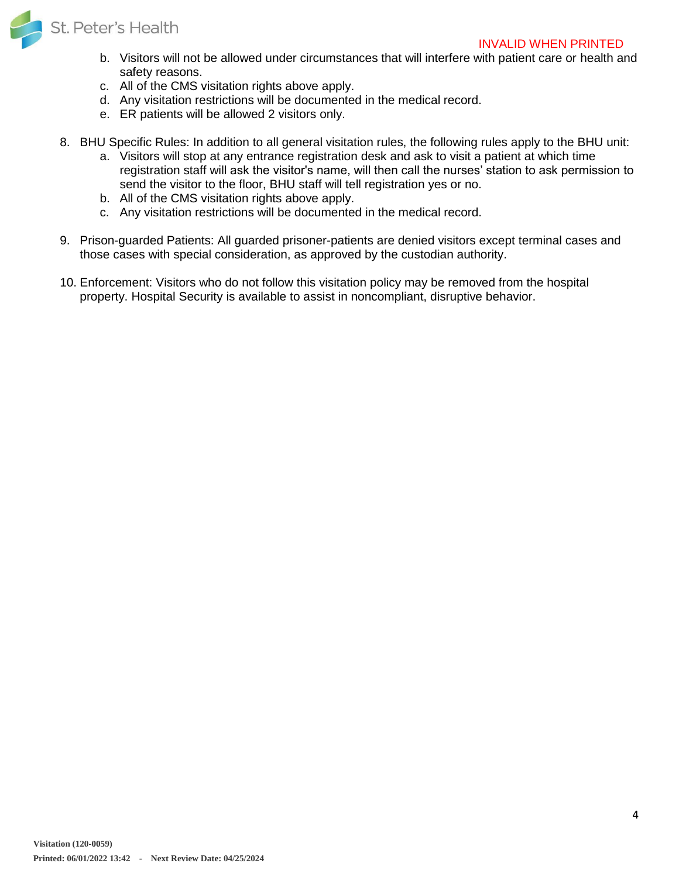

#### INVALID WHEN PRINTED

- b. Visitors will not be allowed under circumstances that will interfere with patient care or health and safety reasons.
- c. All of the CMS visitation rights above apply.
- d. Any visitation restrictions will be documented in the medical record.
- e. ER patients will be allowed 2 visitors only.
- <span id="page-3-0"></span>8. BHU Specific Rules: In addition to all general visitation rules, the following rules apply to the BHU unit:
	- a. Visitors will stop at any entrance registration desk and ask to visit a patient at which time registration staff will ask the visitor's name, will then call the nurses' station to ask permission to send the visitor to the floor, BHU staff will tell registration yes or no.
	- b. All of the CMS visitation rights above apply.
	- c. Any visitation restrictions will be documented in the medical record.
- <span id="page-3-1"></span>9. Prison-guarded Patients: All guarded prisoner-patients are denied visitors except terminal cases and those cases with special consideration, as approved by the custodian authority.
- <span id="page-3-2"></span>10. Enforcement: Visitors who do not follow this visitation policy may be removed from the hospital property. Hospital Security is available to assist in noncompliant, disruptive behavior.